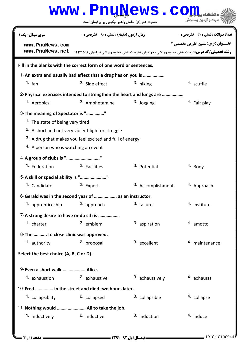|                                                                                                                          |                                                                                                                          | www.PnuNews.co                                                                                        |                                              |  |  |
|--------------------------------------------------------------------------------------------------------------------------|--------------------------------------------------------------------------------------------------------------------------|-------------------------------------------------------------------------------------------------------|----------------------------------------------|--|--|
|                                                                                                                          | حضرت علی(ع): دانش راهبر نیکویی برای ایمان است                                                                            |                                                                                                       | مركز آزمون وسنجش                             |  |  |
| سری سوال: یک ۱                                                                                                           | <b>زمان آزمون (دقیقه) : تستی : 80 ٪ تشریحی : 0</b>                                                                       |                                                                                                       | <b>تعداد سوالات : تستی : 30 ٪ تشریحی : 0</b> |  |  |
| www.PnuNews.com<br>www.PnuNews.net                                                                                       |                                                                                                                          | <b>رشته تحصیلی/کد درس:</b> تربیت بدنی وعلوم ورزشی (خواهران )،تربیت بدنی وعلوم ورزشی (برادران )۱۲۱۲۱۵۹ | عنــوان درس: متون خارجي تخصصي ٢              |  |  |
| Fill in the blanks with the correct form of one word or sentences.                                                       |                                                                                                                          |                                                                                                       |                                              |  |  |
|                                                                                                                          | 1-An extra and usually bad effect that a drug has on you is                                                              |                                                                                                       |                                              |  |  |
| $1.$ fan                                                                                                                 | <sup>2.</sup> Side effect                                                                                                | 3. hiking                                                                                             | 4. scuffle                                   |  |  |
|                                                                                                                          |                                                                                                                          | 2-Physical exercises intended to strengthen the heart and lungs are                                   |                                              |  |  |
| 1. Aerobics                                                                                                              | 2. Amphetamine                                                                                                           | 3. Jogging                                                                                            | 4. Fair play                                 |  |  |
| 3- The meaning of Spectator is ""<br>1. The state of being very tired<br><sup>4.</sup> A person who is watching an event | <sup>2.</sup> A short and not very violent fight or struggle<br>3. A drug that makes you feel excited and full of energy |                                                                                                       |                                              |  |  |
| 4-A group of clubs is ""                                                                                                 |                                                                                                                          |                                                                                                       |                                              |  |  |
| <sup>1.</sup> Federation                                                                                                 | 2. Facilities                                                                                                            | <sup>3.</sup> Potential                                                                               | 4. Body                                      |  |  |
| 5-A skill or special ability is ""                                                                                       |                                                                                                                          |                                                                                                       |                                              |  |  |
| 1. Candidate                                                                                                             | 2. Expert                                                                                                                | 3. Accomplishment                                                                                     | 4. Approach                                  |  |  |
|                                                                                                                          | 6-Gerald was in the second year of  as an instructor.                                                                    |                                                                                                       |                                              |  |  |
| 1. apprenticeship                                                                                                        | 2. approach                                                                                                              | 3. failure                                                                                            | 4. institute                                 |  |  |
| 7-A strong desire to have or do sth is                                                                                   |                                                                                                                          |                                                                                                       |                                              |  |  |
| 1. charter                                                                                                               | 2. emblem                                                                                                                | 3. aspiration                                                                                         | 4. amotto                                    |  |  |
| 8-The  to close clinic was approved.<br>1. authority                                                                     | 2. proposal                                                                                                              | 3. excellent                                                                                          | 4. maintenance                               |  |  |
| Select the best choice (A, B, C or D).                                                                                   |                                                                                                                          |                                                                                                       |                                              |  |  |
| 9-Even a short walk  Alice.                                                                                              |                                                                                                                          |                                                                                                       |                                              |  |  |
| 1. exhaustion                                                                                                            | 2. exhaustive                                                                                                            | 3. exhaustively                                                                                       | 4. exhausts                                  |  |  |
| 10-Fred  in the street and died two hours later.                                                                         |                                                                                                                          |                                                                                                       |                                              |  |  |
| 1. collapsiblity 2. collapsed                                                                                            |                                                                                                                          | 3. collapsible                                                                                        | 4. collapse                                  |  |  |
| 11- Nothing would  Ali to take the job.                                                                                  |                                                                                                                          |                                                                                                       |                                              |  |  |
| 1. inductively                                                                                                           | 2. inductive                                                                                                             | 3. induction                                                                                          | 4. induce                                    |  |  |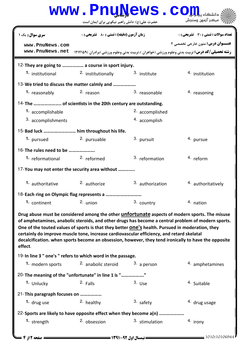|                                                                                                                                                                                                                 | www.PnuNews.co                                     |                          |                                                                                                                                                                                                                                                                                                                     |
|-----------------------------------------------------------------------------------------------------------------------------------------------------------------------------------------------------------------|----------------------------------------------------|--------------------------|---------------------------------------------------------------------------------------------------------------------------------------------------------------------------------------------------------------------------------------------------------------------------------------------------------------------|
|                                                                                                                                                                                                                 | حضرت علی(ع): دانش راهبر نیکویی برای ایمان است      |                          | مركز آزمون وسنجش                                                                                                                                                                                                                                                                                                    |
| <b>سری سوال :</b> یک ۱                                                                                                                                                                                          | <b>زمان آزمون (دقیقه) : تستی : 80 ٪ تشریحی : 0</b> |                          | تعداد سوالات : تستي : 30 ٪ تشريحي : 0                                                                                                                                                                                                                                                                               |
| www.PnuNews.com                                                                                                                                                                                                 |                                                    |                          | <b>عنـــوان درس:</b> متون خارجي تخصصي ٢                                                                                                                                                                                                                                                                             |
| www.PnuNews.net                                                                                                                                                                                                 |                                                    |                          | <b>رشته تحصیلی/کد درس:</b> تربیت بدنی وعلوم ورزشی (خواهران )،تربیت بدنی وعلوم ورزشی (برادران )۱۲۱۲۱۵۹                                                                                                                                                                                                               |
| 12-They are going to  a course in sport injury.                                                                                                                                                                 |                                                    |                          |                                                                                                                                                                                                                                                                                                                     |
| <b>1.</b> institutional                                                                                                                                                                                         | <sup>2.</sup> institutionally                      | 3. institute             | <sup>4</sup> institution                                                                                                                                                                                                                                                                                            |
| 13-We tried to discuss the matter calmly and                                                                                                                                                                    |                                                    |                          |                                                                                                                                                                                                                                                                                                                     |
| 1. reasonably                                                                                                                                                                                                   | 2. reason                                          | 3. reasonable            | 4. reasoning                                                                                                                                                                                                                                                                                                        |
|                                                                                                                                                                                                                 |                                                    |                          |                                                                                                                                                                                                                                                                                                                     |
| 1. accomplishable                                                                                                                                                                                               |                                                    | 2. accomplished          |                                                                                                                                                                                                                                                                                                                     |
| 3. accomplishments                                                                                                                                                                                              |                                                    | 4. accomplish            |                                                                                                                                                                                                                                                                                                                     |
| 15-Bad luck  him throughout his life.                                                                                                                                                                           |                                                    |                          |                                                                                                                                                                                                                                                                                                                     |
| 1. pursued                                                                                                                                                                                                      | 2. pursuable                                       | 3. pursuit               | 4. pursue                                                                                                                                                                                                                                                                                                           |
| 16-The rules need to be                                                                                                                                                                                         |                                                    |                          |                                                                                                                                                                                                                                                                                                                     |
| 1. reformational 2. reformed                                                                                                                                                                                    |                                                    | 3. reformation           | 4. reform                                                                                                                                                                                                                                                                                                           |
| 17-You may not enter the security area without                                                                                                                                                                  |                                                    |                          |                                                                                                                                                                                                                                                                                                                     |
| 1. authoritative                                                                                                                                                                                                | 2. authorize                                       | 3. authorization         | 4. authoritatively                                                                                                                                                                                                                                                                                                  |
| 18-Each ring on Olympic flag represents a                                                                                                                                                                       |                                                    |                          |                                                                                                                                                                                                                                                                                                                     |
| 1. continent                                                                                                                                                                                                    | $2.$ union                                         | 3. country               | 4. nation                                                                                                                                                                                                                                                                                                           |
| One of the touted values of sports is that they better <b>ONE'S</b> health. Pursued in moderation, they<br>certainly do improve muscle tone, increase cardiovascular efficiency, and retard skelatal<br>effect. |                                                    |                          | Drug abuse must be considered among the other <i>unfortunate</i> aspects of modern sports. The misuse<br>of amphetamines, anabolic steroids, and other drugs has become a central problem of modern sports.<br>decalcification. when sports become an obsession, however, they tend ironically to have the opposite |
| 19-In line 3 " one's " refers to which word in the passage.                                                                                                                                                     |                                                    |                          |                                                                                                                                                                                                                                                                                                                     |
| 1. modern sports                                                                                                                                                                                                | 2. anabolic steroid                                | $3.$ a person            | 4. amphetamines                                                                                                                                                                                                                                                                                                     |
| 20-The meaning of the "unfortunate" in line 1 is ""                                                                                                                                                             |                                                    |                          |                                                                                                                                                                                                                                                                                                                     |
| 1. Unlucky                                                                                                                                                                                                      | 2. Falls                                           | $3.$ Use                 | 4. Suitable                                                                                                                                                                                                                                                                                                         |
| 21-This paragraph focuses on                                                                                                                                                                                    |                                                    |                          |                                                                                                                                                                                                                                                                                                                     |
| 1. $drug$ use                                                                                                                                                                                                   | 2. healthy                                         | $3.$ safety              | <sup>4.</sup> drug usage                                                                                                                                                                                                                                                                                            |
| 22-Sports are likely to have opposite effect when they become a(n)                                                                                                                                              |                                                    |                          |                                                                                                                                                                                                                                                                                                                     |
| 1. strength                                                                                                                                                                                                     | 2. obsession                                       | 3. stimulation           | 4. irony                                                                                                                                                                                                                                                                                                            |
| صفحه 12 2                                                                                                                                                                                                       |                                                    | = نیمسال اول 92-1391 === | 1010/10106944                                                                                                                                                                                                                                                                                                       |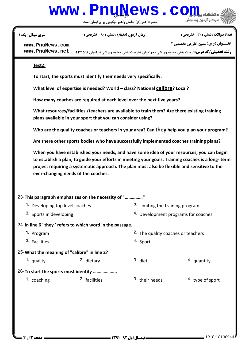## www.Pnu<u>N</u>ews.com

حضرت علي(ع): دانش راهبر نيكويي براي ايمان است

نعداد سوالات : تستي : 30 ٪ تشريحي : . زمان آزمون (دقيقه) : تستي : 80 ٪ تشريحي : 0 ٪ سري سوال : يك 1

**عنـــوان درس:** متون خارجي تخصصي ٢

**[www.PnuNews.com](http://pnunews.com)**

**رشته تحصیلی/کد درس:** تربیت بدنی وعلوم ورزشی (خواهران )،تربیت بدنی وعلوم ورزشی (برادران )۱۲۱۲۱۵۹ **با [www.PnuNews.net](http://www.PnuNews.net)**

## Text2:

To start, the sports must identify their needs very specifically:

What level of expertise is needed? World - class? National calibre? Local?

How many coaches are required at each level over the next five years?

What resources/facilities /teachers are available to train them? Are there existing training plans available in your sport that you can consider using?

Who are the quality coaches or teachers in your area? Can they help you plan your program?

Are there other sports bodies who have successfully implemented coaches training plans?

When you have established your needs, and have some idea of your resources, you can begin to establish a plan, to guide your efforts in meeting your goals. Training coaches is a long- term project requiring a systematic approach. The plan must also be flexible and sensitive to the ever-changing needs of the coaches.

| 23-This paragraph emphasizes on the necessity of ""       |                          |                                  |                                                |                            |
|-----------------------------------------------------------|--------------------------|----------------------------------|------------------------------------------------|----------------------------|
| 1. Developing top level coaches                           |                          | 2. Limiting the training program |                                                |                            |
| 3. Sports in developing                                   |                          |                                  | 4. Development programs for coaches            |                            |
| 24-In line 6 'they ' refers to which word in the passage. |                          |                                  |                                                |                            |
| 1. Program                                                |                          |                                  | <sup>2</sup> . The quality coaches or teachers |                            |
| 3. Facilities                                             |                          |                                  | 4. Sport                                       |                            |
| 25-What the meaning of "calibre" in line 2?               |                          |                                  |                                                |                            |
| 1. quality                                                | 2. dietary               |                                  | $3.$ diet                                      | 4. quantity                |
| 26-To start the sports must identify                      |                          |                                  |                                                |                            |
| <sup>1</sup> coaching                                     | <sup>2.</sup> facilities |                                  | 3. their needs                                 | <sup>4</sup> type of sport |